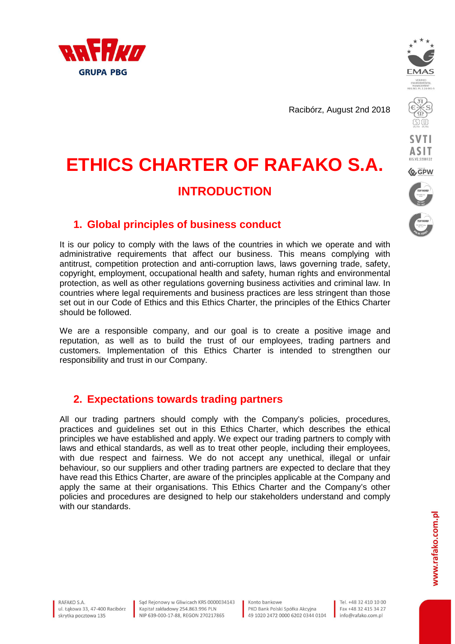

Racibórz, August 2nd 2018



**SVTI ASIT Q**GPW

# **1. Global principles of business conduct**

It is our policy to comply with the laws of the countries in which we operate and with administrative requirements that affect our business. This means complying with antitrust, competition protection and anti-corruption laws, laws governing trade, safety, copyright, employment, occupational health and safety, human rights and environmental protection, as well as other regulations governing business activities and criminal law. In countries where legal requirements and business practices are less stringent than those set out in our Code of Ethics and this Ethics Charter, the principles of the Ethics Charter should be followed.

**ETHICS CHARTER OF RAFAKO S.A.** 

**INTRODUCTION** 

We are a responsible company, and our goal is to create a positive image and reputation, as well as to build the trust of our employees, trading partners and customers. Implementation of this Ethics Charter is intended to strengthen our responsibility and trust in our Company.

# **2. Expectations towards trading partners**

All our trading partners should comply with the Company's policies, procedures, practices and guidelines set out in this Ethics Charter, which describes the ethical principles we have established and apply. We expect our trading partners to comply with laws and ethical standards, as well as to treat other people, including their employees, with due respect and fairness. We do not accept any unethical, illegal or unfair behaviour, so our suppliers and other trading partners are expected to declare that they have read this Ethics Charter, are aware of the principles applicable at the Company and apply the same at their organisations. This Ethics Charter and the Company's other policies and procedures are designed to help our stakeholders understand and comply with our standards.

RAFAKO S A ul, Łakowa 33, 47-400 Racibórz skrytka pocztowa 135

Sad Rejonowy w Gliwicach KRS 0000034143 Kapitał zakładowy 254.863.996 PLN NIP 639-000-17-88, REGON 270217865

Konto bankowe PKO Bank Polski Spółka Akcyina 49 1020 2472 0000 6202 0344 0104

Tel. +48 32 410 10 00 Fax +48 32 415 34 27 info@rafako.com.pl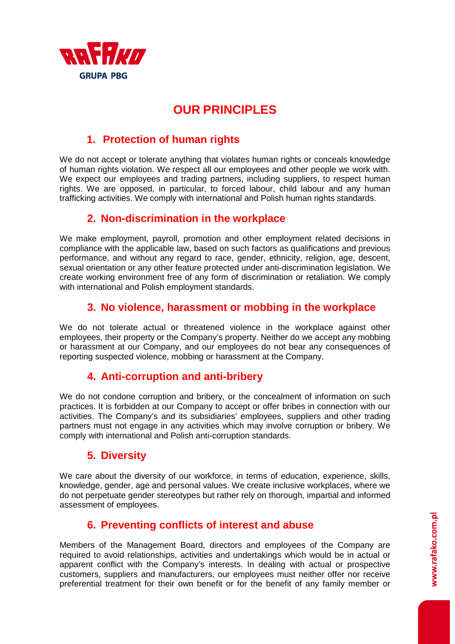

# **OUR PRINCIPLES**

# **1. Protection of human rights**

We do not accept or tolerate anything that violates human rights or conceals knowledge of human rights violation. We respect all our employees and other people we work with. We expect our employees and trading partners, including suppliers, to respect human rights. We are opposed, in particular, to forced labour, child labour and any human trafficking activities. We comply with international and Polish human rights standards.

# **2. Non-discrimination in the workplace**

We make employment, payroll, promotion and other employment related decisions in compliance with the applicable law, based on such factors as qualifications and previous performance, and without any regard to race, gender, ethnicity, religion, age, descent, sexual orientation or any other feature protected under anti-discrimination legislation. We create working environment free of any form of discrimination or retaliation. We comply with international and Polish employment standards.

### **3. No violence, harassment or mobbing in the workplace**

We do not tolerate actual or threatened violence in the workplace against other employees, their property or the Company's property. Neither do we accept any mobbing or harassment at our Company, and our employees do not bear any consequences of reporting suspected violence, mobbing or harassment at the Company.

# **4. Anti-corruption and anti-bribery**

We do not condone corruption and bribery, or the concealment of information on such practices. It is forbidden at our Company to accept or offer bribes in connection with our activities. The Company's and its subsidiaries' employees, suppliers and other trading partners must not engage in any activities which may involve corruption or bribery. We comply with international and Polish anti-corruption standards.

# **5. Diversity**

We care about the diversity of our workforce, in terms of education, experience, skills, knowledge, gender, age and personal values. We create inclusive workplaces, where we do not perpetuate gender stereotypes but rather rely on thorough, impartial and informed assessment of employees.

# **6. Preventing conflicts of interest and abuse**

Members of the Management Board, directors and employees of the Company are required to avoid relationships, activities and undertakings which would be in actual or apparent conflict with the Company's interests. In dealing with actual or prospective customers, suppliers and manufacturers, our employees must neither offer nor receive preferential treatment for their own benefit or for the benefit of any family member or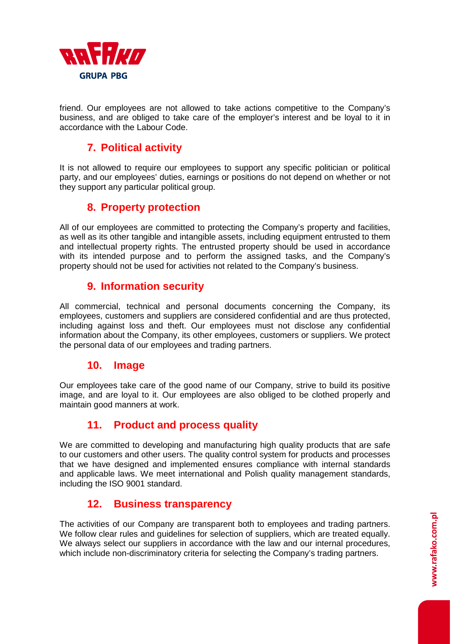

friend. Our employees are not allowed to take actions competitive to the Company's business, and are obliged to take care of the employer's interest and be loyal to it in accordance with the Labour Code.

# **7. Political activity**

It is not allowed to require our employees to support any specific politician or political party, and our employees' duties, earnings or positions do not depend on whether or not they support any particular political group.

### **8. Property protection**

All of our employees are committed to protecting the Company's property and facilities, as well as its other tangible and intangible assets, including equipment entrusted to them and intellectual property rights. The entrusted property should be used in accordance with its intended purpose and to perform the assigned tasks, and the Company's property should not be used for activities not related to the Company's business.

### **9. Information security**

All commercial, technical and personal documents concerning the Company, its employees, customers and suppliers are considered confidential and are thus protected, including against loss and theft. Our employees must not disclose any confidential information about the Company, its other employees, customers or suppliers. We protect the personal data of our employees and trading partners.

### **10. Image**

Our employees take care of the good name of our Company, strive to build its positive image, and are loyal to it. Our employees are also obliged to be clothed properly and maintain good manners at work.

# **11. Product and process quality**

We are committed to developing and manufacturing high quality products that are safe to our customers and other users. The quality control system for products and processes that we have designed and implemented ensures compliance with internal standards and applicable laws. We meet international and Polish quality management standards, including the ISO 9001 standard.

### **12. Business transparency**

The activities of our Company are transparent both to employees and trading partners. We follow clear rules and guidelines for selection of suppliers, which are treated equally. We always select our suppliers in accordance with the law and our internal procedures, which include non-discriminatory criteria for selecting the Company's trading partners.